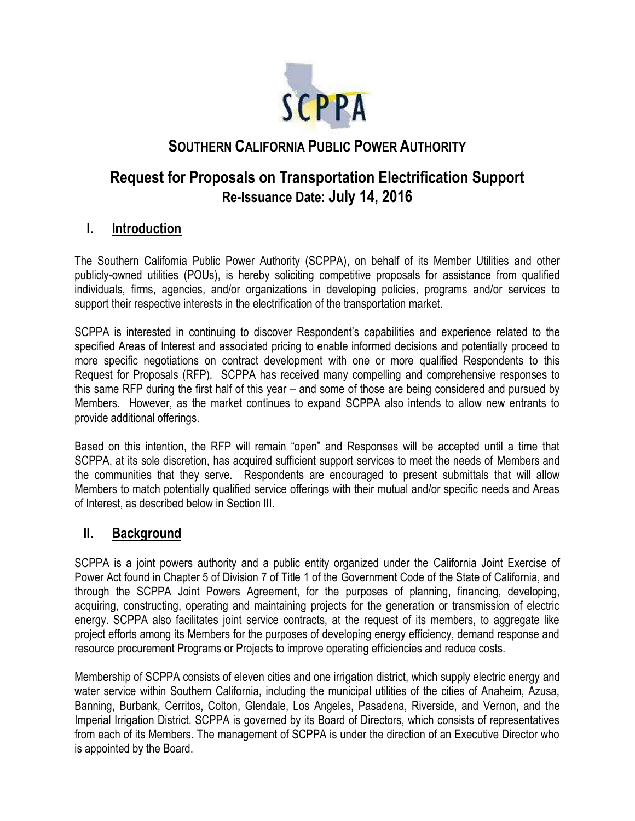

# **SOUTHERN CALIFORNIA PUBLIC POWER AUTHORITY**

# **Request for Proposals on Transportation Electrification Support Re-Issuance Date: July 14, 2016**

# **I. Introduction**

The Southern California Public Power Authority (SCPPA), on behalf of its Member Utilities and other publicly-owned utilities (POUs), is hereby soliciting competitive proposals for assistance from qualified individuals, firms, agencies, and/or organizations in developing policies, programs and/or services to support their respective interests in the electrification of the transportation market.

SCPPA is interested in continuing to discover Respondent's capabilities and experience related to the specified Areas of Interest and associated pricing to enable informed decisions and potentially proceed to more specific negotiations on contract development with one or more qualified Respondents to this Request for Proposals (RFP). SCPPA has received many compelling and comprehensive responses to this same RFP during the first half of this year – and some of those are being considered and pursued by Members. However, as the market continues to expand SCPPA also intends to allow new entrants to provide additional offerings.

Based on this intention, the RFP will remain "open" and Responses will be accepted until a time that SCPPA, at its sole discretion, has acquired sufficient support services to meet the needs of Members and the communities that they serve. Respondents are encouraged to present submittals that will allow Members to match potentially qualified service offerings with their mutual and/or specific needs and Areas of Interest, as described below in Section III.

#### **II. Background**

SCPPA is a joint powers authority and a public entity organized under the California Joint Exercise of Power Act found in Chapter 5 of Division 7 of Title 1 of the Government Code of the State of California, and through the SCPPA Joint Powers Agreement, for the purposes of planning, financing, developing, acquiring, constructing, operating and maintaining projects for the generation or transmission of electric energy. SCPPA also facilitates joint service contracts, at the request of its members, to aggregate like project efforts among its Members for the purposes of developing energy efficiency, demand response and resource procurement Programs or Projects to improve operating efficiencies and reduce costs.

Membership of SCPPA consists of eleven cities and one irrigation district, which supply electric energy and water service within Southern California, including the municipal utilities of the cities of Anaheim, Azusa, Banning, Burbank, Cerritos, Colton, Glendale, Los Angeles, Pasadena, Riverside, and Vernon, and the Imperial Irrigation District. SCPPA is governed by its Board of Directors, which consists of representatives from each of its Members. The management of SCPPA is under the direction of an Executive Director who is appointed by the Board.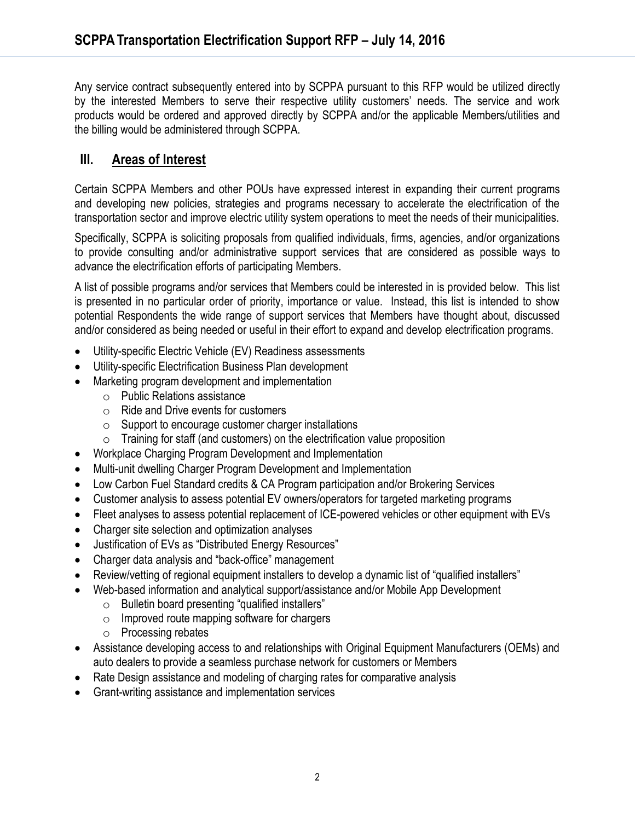Any service contract subsequently entered into by SCPPA pursuant to this RFP would be utilized directly by the interested Members to serve their respective utility customers' needs. The service and work products would be ordered and approved directly by SCPPA and/or the applicable Members/utilities and the billing would be administered through SCPPA.

# **III. Areas of Interest**

Certain SCPPA Members and other POUs have expressed interest in expanding their current programs and developing new policies, strategies and programs necessary to accelerate the electrification of the transportation sector and improve electric utility system operations to meet the needs of their municipalities.

Specifically, SCPPA is soliciting proposals from qualified individuals, firms, agencies, and/or organizations to provide consulting and/or administrative support services that are considered as possible ways to advance the electrification efforts of participating Members.

A list of possible programs and/or services that Members could be interested in is provided below. This list is presented in no particular order of priority, importance or value. Instead, this list is intended to show potential Respondents the wide range of support services that Members have thought about, discussed and/or considered as being needed or useful in their effort to expand and develop electrification programs.

- Utility-specific Electric Vehicle (EV) Readiness assessments
- Utility-specific Electrification Business Plan development
- Marketing program development and implementation
	- o Public Relations assistance
	- o Ride and Drive events for customers
	- o Support to encourage customer charger installations
	- $\circ$  Training for staff (and customers) on the electrification value proposition
- Workplace Charging Program Development and Implementation
- Multi-unit dwelling Charger Program Development and Implementation
- Low Carbon Fuel Standard credits & CA Program participation and/or Brokering Services
- Customer analysis to assess potential EV owners/operators for targeted marketing programs
- Fleet analyses to assess potential replacement of ICE-powered vehicles or other equipment with EVs
- Charger site selection and optimization analyses
- Justification of EVs as "Distributed Energy Resources"
- Charger data analysis and "back-office" management
- Review/vetting of regional equipment installers to develop a dynamic list of "qualified installers"
- Web-based information and analytical support/assistance and/or Mobile App Development
	- o Bulletin board presenting "qualified installers"
	- o Improved route mapping software for chargers
	- o Processing rebates
- Assistance developing access to and relationships with Original Equipment Manufacturers (OEMs) and auto dealers to provide a seamless purchase network for customers or Members
- Rate Design assistance and modeling of charging rates for comparative analysis
- Grant-writing assistance and implementation services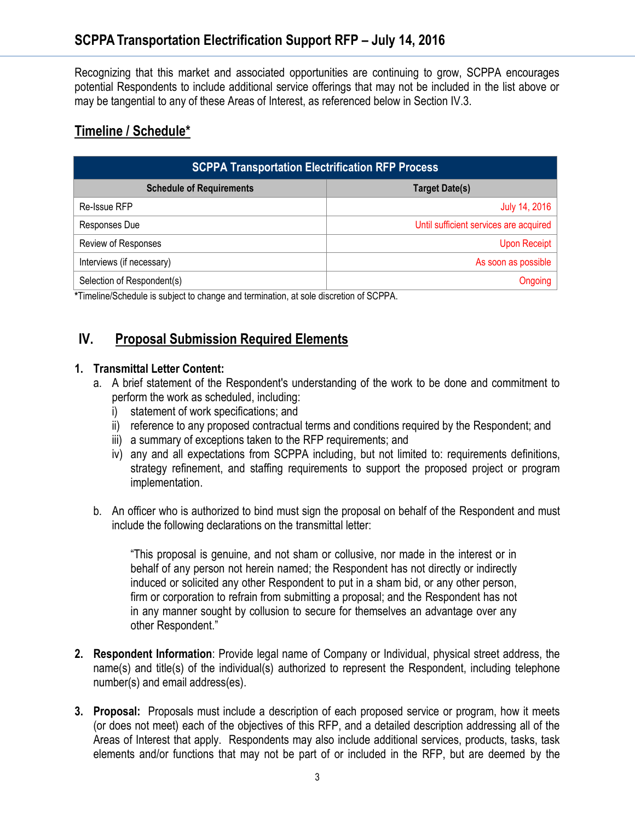Recognizing that this market and associated opportunities are continuing to grow, SCPPA encourages potential Respondents to include additional service offerings that may not be included in the list above or may be tangential to any of these Areas of Interest, as referenced below in Section IV.3.

### **Timeline / Schedule\***

| <b>SCPPA Transportation Electrification RFP Process</b> |                                        |
|---------------------------------------------------------|----------------------------------------|
| <b>Schedule of Requirements</b>                         | <b>Target Date(s)</b>                  |
| Re-Issue RFP                                            | July 14, 2016                          |
| Responses Due                                           | Until sufficient services are acquired |
| Review of Responses                                     | Upon Receipt                           |
| Interviews (if necessary)                               | As soon as possible                    |
| Selection of Respondent(s)                              | Ongoing                                |

**\***Timeline/Schedule is subject to change and termination, at sole discretion of SCPPA.

# **IV. Proposal Submission Required Elements**

#### **1. Transmittal Letter Content:**

- a. A brief statement of the Respondent's understanding of the work to be done and commitment to perform the work as scheduled, including:
	- i) statement of work specifications; and
	- ii) reference to any proposed contractual terms and conditions required by the Respondent; and
	- iii) a summary of exceptions taken to the RFP requirements; and
	- iv) any and all expectations from SCPPA including, but not limited to: requirements definitions, strategy refinement, and staffing requirements to support the proposed project or program implementation.
- b. An officer who is authorized to bind must sign the proposal on behalf of the Respondent and must include the following declarations on the transmittal letter:

"This proposal is genuine, and not sham or collusive, nor made in the interest or in behalf of any person not herein named; the Respondent has not directly or indirectly induced or solicited any other Respondent to put in a sham bid, or any other person, firm or corporation to refrain from submitting a proposal; and the Respondent has not in any manner sought by collusion to secure for themselves an advantage over any other Respondent."

- **2. Respondent Information**: Provide legal name of Company or Individual, physical street address, the name(s) and title(s) of the individual(s) authorized to represent the Respondent, including telephone number(s) and email address(es).
- **3. Proposal:** Proposals must include a description of each proposed service or program, how it meets (or does not meet) each of the objectives of this RFP, and a detailed description addressing all of the Areas of Interest that apply. Respondents may also include additional services, products, tasks, task elements and/or functions that may not be part of or included in the RFP, but are deemed by the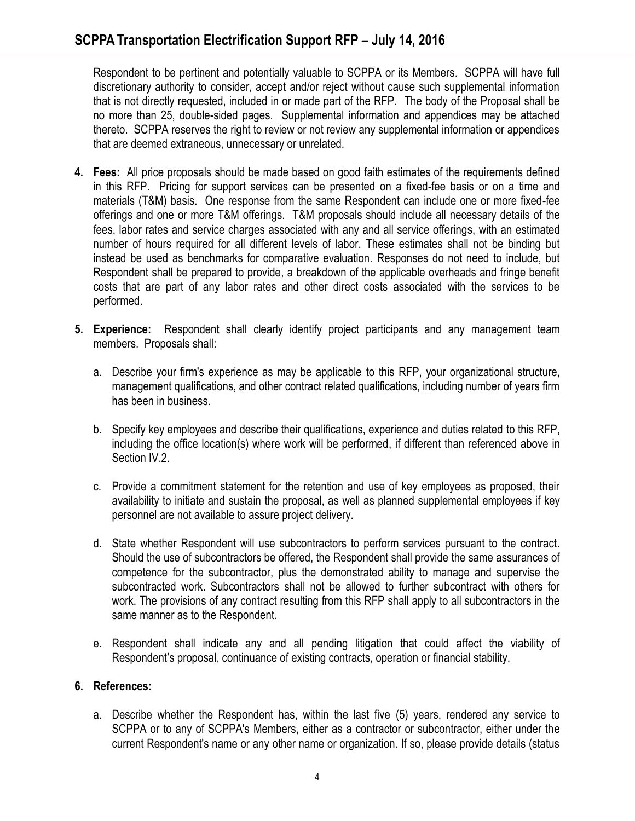Respondent to be pertinent and potentially valuable to SCPPA or its Members. SCPPA will have full discretionary authority to consider, accept and/or reject without cause such supplemental information that is not directly requested, included in or made part of the RFP. The body of the Proposal shall be no more than 25, double-sided pages. Supplemental information and appendices may be attached thereto. SCPPA reserves the right to review or not review any supplemental information or appendices that are deemed extraneous, unnecessary or unrelated.

- **4. Fees:** All price proposals should be made based on good faith estimates of the requirements defined in this RFP. Pricing for support services can be presented on a fixed-fee basis or on a time and materials (T&M) basis. One response from the same Respondent can include one or more fixed-fee offerings and one or more T&M offerings. T&M proposals should include all necessary details of the fees, labor rates and service charges associated with any and all service offerings, with an estimated number of hours required for all different levels of labor. These estimates shall not be binding but instead be used as benchmarks for comparative evaluation. Responses do not need to include, but Respondent shall be prepared to provide, a breakdown of the applicable overheads and fringe benefit costs that are part of any labor rates and other direct costs associated with the services to be performed.
- **5. Experience:** Respondent shall clearly identify project participants and any management team members. Proposals shall:
	- a. Describe your firm's experience as may be applicable to this RFP, your organizational structure, management qualifications, and other contract related qualifications, including number of years firm has been in business.
	- b. Specify key employees and describe their qualifications, experience and duties related to this RFP, including the office location(s) where work will be performed, if different than referenced above in Section IV.2.
	- c. Provide a commitment statement for the retention and use of key employees as proposed, their availability to initiate and sustain the proposal, as well as planned supplemental employees if key personnel are not available to assure project delivery.
	- d. State whether Respondent will use subcontractors to perform services pursuant to the contract. Should the use of subcontractors be offered, the Respondent shall provide the same assurances of competence for the subcontractor, plus the demonstrated ability to manage and supervise the subcontracted work. Subcontractors shall not be allowed to further subcontract with others for work. The provisions of any contract resulting from this RFP shall apply to all subcontractors in the same manner as to the Respondent.
	- e. Respondent shall indicate any and all pending litigation that could affect the viability of Respondent's proposal, continuance of existing contracts, operation or financial stability.

#### **6. References:**

a. Describe whether the Respondent has, within the last five (5) years, rendered any service to SCPPA or to any of SCPPA's Members, either as a contractor or subcontractor, either under the current Respondent's name or any other name or organization. If so, please provide details (status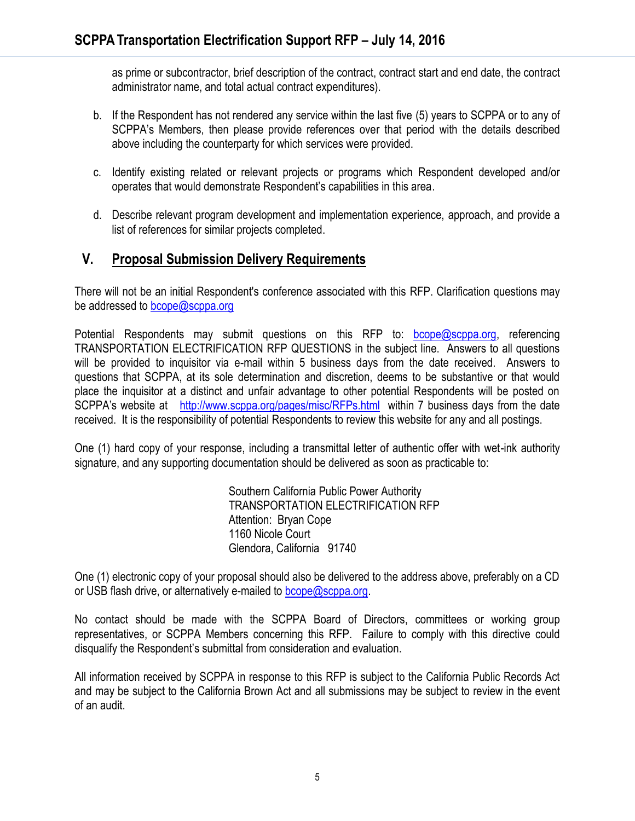as prime or subcontractor, brief description of the contract, contract start and end date, the contract administrator name, and total actual contract expenditures).

- b. If the Respondent has not rendered any service within the last five (5) years to SCPPA or to any of SCPPA's Members, then please provide references over that period with the details described above including the counterparty for which services were provided.
- c. Identify existing related or relevant projects or programs which Respondent developed and/or operates that would demonstrate Respondent's capabilities in this area.
- d. Describe relevant program development and implementation experience, approach, and provide a list of references for similar projects completed.

## **V. Proposal Submission Delivery Requirements**

There will not be an initial Respondent's conference associated with this RFP. Clarification questions may be addressed to [bcope@scppa.org](mailto:bcope@scppa.org)

Potential Respondents may submit questions on this RFP to: [bcope@scppa.org,](file://app-server/data/RFPs_RFQs_RFIs/Public%20Benefits%20Committee/Paperless%20Rebate%20Automation/RFP/bcope@scppa.org) referencing TRANSPORTATION ELECTRIFICATION RFP QUESTIONS in the subject line. Answers to all questions will be provided to inquisitor via e-mail within 5 business days from the date received. Answers to questions that SCPPA, at its sole determination and discretion, deems to be substantive or that would place the inquisitor at a distinct and unfair advantage to other potential Respondents will be posted on SCPPA's website at <http://www.scppa.org/pages/misc/RFPs.html>within 7 business days from the date received. It is the responsibility of potential Respondents to review this website for any and all postings.

One (1) hard copy of your response, including a transmittal letter of authentic offer with wet-ink authority signature, and any supporting documentation should be delivered as soon as practicable to:

> Southern California Public Power Authority TRANSPORTATION ELECTRIFICATION RFP Attention: Bryan Cope 1160 Nicole Court Glendora, California 91740

One (1) electronic copy of your proposal should also be delivered to the address above, preferably on a CD or USB flash drive, or alternatively e-mailed to [bcope@scppa.org.](mailto:bcope@scppa.org)

No contact should be made with the SCPPA Board of Directors, committees or working group representatives, or SCPPA Members concerning this RFP. Failure to comply with this directive could disqualify the Respondent's submittal from consideration and evaluation.

All information received by SCPPA in response to this RFP is subject to the California Public Records Act and may be subject to the California Brown Act and all submissions may be subject to review in the event of an audit.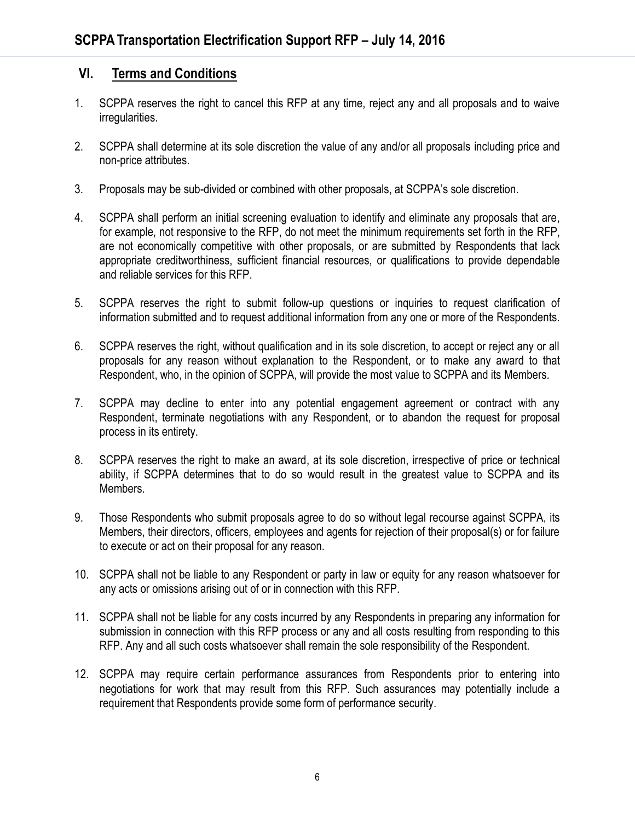### **VI. Terms and Conditions**

- 1. SCPPA reserves the right to cancel this RFP at any time, reject any and all proposals and to waive irregularities.
- 2. SCPPA shall determine at its sole discretion the value of any and/or all proposals including price and non-price attributes.
- 3. Proposals may be sub-divided or combined with other proposals, at SCPPA's sole discretion.
- 4. SCPPA shall perform an initial screening evaluation to identify and eliminate any proposals that are, for example, not responsive to the RFP, do not meet the minimum requirements set forth in the RFP, are not economically competitive with other proposals, or are submitted by Respondents that lack appropriate creditworthiness, sufficient financial resources, or qualifications to provide dependable and reliable services for this RFP.
- 5. SCPPA reserves the right to submit follow-up questions or inquiries to request clarification of information submitted and to request additional information from any one or more of the Respondents.
- 6. SCPPA reserves the right, without qualification and in its sole discretion, to accept or reject any or all proposals for any reason without explanation to the Respondent, or to make any award to that Respondent, who, in the opinion of SCPPA, will provide the most value to SCPPA and its Members.
- 7. SCPPA may decline to enter into any potential engagement agreement or contract with any Respondent, terminate negotiations with any Respondent, or to abandon the request for proposal process in its entirety.
- 8. SCPPA reserves the right to make an award, at its sole discretion, irrespective of price or technical ability, if SCPPA determines that to do so would result in the greatest value to SCPPA and its Members.
- 9. Those Respondents who submit proposals agree to do so without legal recourse against SCPPA, its Members, their directors, officers, employees and agents for rejection of their proposal(s) or for failure to execute or act on their proposal for any reason.
- 10. SCPPA shall not be liable to any Respondent or party in law or equity for any reason whatsoever for any acts or omissions arising out of or in connection with this RFP.
- 11. SCPPA shall not be liable for any costs incurred by any Respondents in preparing any information for submission in connection with this RFP process or any and all costs resulting from responding to this RFP. Any and all such costs whatsoever shall remain the sole responsibility of the Respondent.
- 12. SCPPA may require certain performance assurances from Respondents prior to entering into negotiations for work that may result from this RFP. Such assurances may potentially include a requirement that Respondents provide some form of performance security.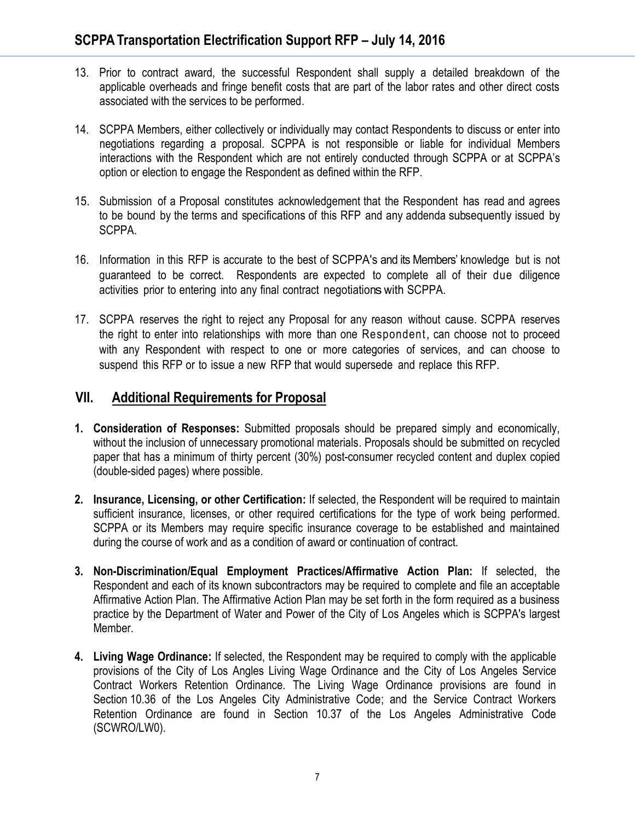- 13. Prior to contract award, the successful Respondent shall supply a detailed breakdown of the applicable overheads and fringe benefit costs that are part of the labor rates and other direct costs associated with the services to be performed.
- 14. SCPPA Members, either collectively or individually may contact Respondents to discuss or enter into negotiations regarding a proposal. SCPPA is not responsible or liable for individual Members interactions with the Respondent which are not entirely conducted through SCPPA or at SCPPA's option or election to engage the Respondent as defined within the RFP.
- 15. Submission of a Proposal constitutes acknowledgement that the Respondent has read and agrees to be bound by the terms and specifications of this RFP and any addenda subsequently issued by SCPPA.
- 16. Information in this RFP is accurate to the best of SCPPA's and its Members' knowledge but is not guaranteed to be correct. Respondents are expected to complete all of their due diligence activities prior to entering into any final contract negotiations with SCPPA.
- 17. SCPPA reserves the right to reject any Proposal for any reason without cause. SCPPA reserves the right to enter into relationships with more than one Respondent, can choose not to proceed with any Respondent with respect to one or more categories of services, and can choose to suspend this RFP or to issue a new RFP that would supersede and replace this RFP.

## **VII. Additional Requirements for Proposal**

- **1. Consideration of Responses:** Submitted proposals should be prepared simply and economically, without the inclusion of unnecessary promotional materials. Proposals should be submitted on recycled paper that has a minimum of thirty percent (30%) post-consumer recycled content and duplex copied (double-sided pages) where possible.
- **2. Insurance, Licensing, or other Certification:** If selected, the Respondent will be required to maintain sufficient insurance, licenses, or other required certifications for the type of work being performed. SCPPA or its Members may require specific insurance coverage to be established and maintained during the course of work and as a condition of award or continuation of contract.
- **3. Non-Discrimination/Equal Employment Practices/Affirmative Action Plan:** If selected, the Respondent and each of its known subcontractors may be required to complete and file an acceptable Affirmative Action Plan. The Affirmative Action Plan may be set forth in the form required as a business practice by the Department of Water and Power of the City of Los Angeles which is SCPPA's largest Member.
- **4. Living Wage Ordinance:** If selected, the Respondent may be required to comply with the applicable provisions of the City of Los Angles Living Wage Ordinance and the City of Los Angeles Service Contract Workers Retention Ordinance. The Living Wage Ordinance provisions are found in Section 10.36 of the Los Angeles City Administrative Code; and the Service Contract Workers Retention Ordinance are found in Section 10.37 of the Los Angeles Administrative Code (SCWRO/LW0).